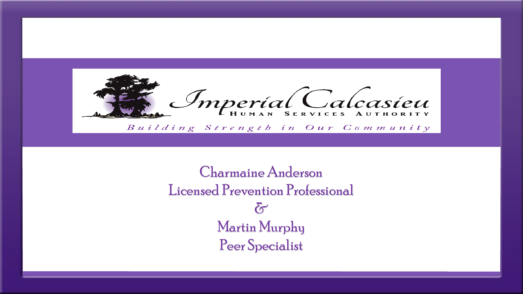

Charmaine Anderson Licensed Prevention Professional  $\delta$ Martin Murphy Peer Specialist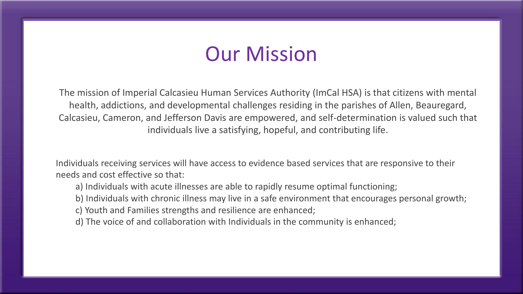# Our Mission

The mission of Imperial Calcasieu Human Services Authority (ImCal HSA) is that citizens with mental health, addictions, and developmental challenges residing in the parishes of Allen, Beauregard, Calcasieu, Cameron, and Jefferson Davis are empowered, and self-determination is valued such that individuals live a satisfying, hopeful, and contributing life.

Individuals receiving services will have access to evidence based services that are responsive to their needs and cost effective so that:

- a) Individuals with acute illnesses are able to rapidly resume optimal functioning;
- b) Individuals with chronic illness may live in a safe environment that encourages personal growth;
- c) Youth and Families strengths and resilience are enhanced;
- d) The voice of and collaboration with Individuals in the community is enhanced;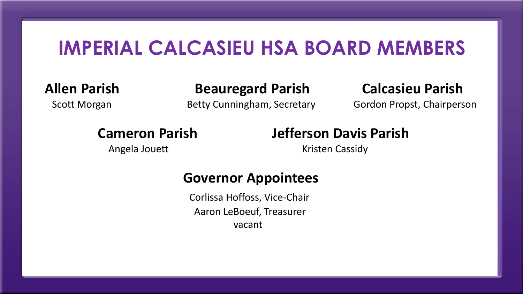## **IMPERIAL CALCASIEU HSA BOARD MEMBERS**

**Allen Parish Beauregard Parish Calcasieu Parish** 

Scott Morgan **Betty Cunningham, Secretary** Gordon Propst, Chairperson

Angela Jouett **Kristen Cassidy** 

## **Cameron Parish Jefferson Davis Parish**

### **Governor Appointees**

Corlissa Hoffoss, Vice-Chair Aaron LeBoeuf, Treasurer vacant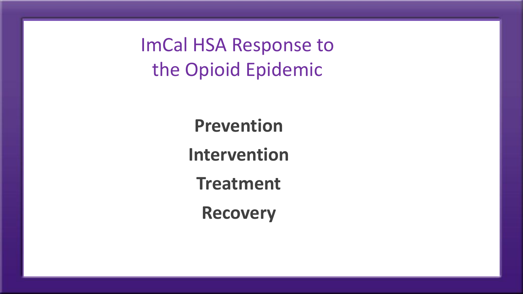ImCal HSA Response to the Opioid Epidemic

> **Prevention Intervention Treatment**

> > **Recovery**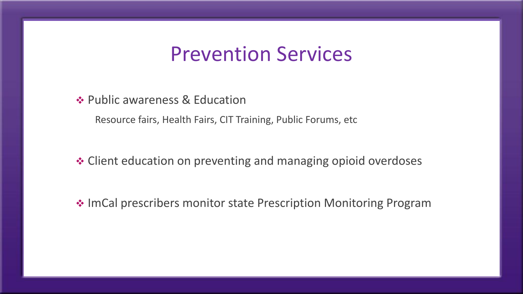## Prevention Services

**❖ Public awareness & Education** 

Resource fairs, Health Fairs, CIT Training, Public Forums, etc

Client education on preventing and managing opioid overdoses

**ImCal prescribers monitor state Prescription Monitoring Program**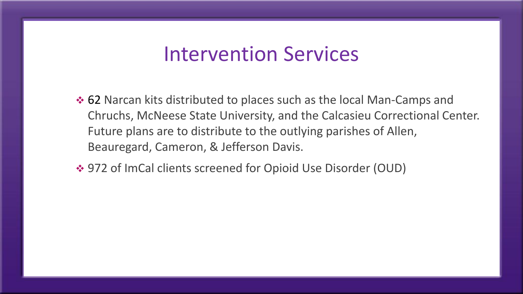## Intervention Services

- $\div$  **62 Narcan kits distributed to places such as the local Man-Camps and** Chruchs, McNeese State University, and the Calcasieu Correctional Center. Future plans are to distribute to the outlying parishes of Allen, Beauregard, Cameron, & Jefferson Davis.
- 972 of ImCal clients screened for Opioid Use Disorder (OUD)